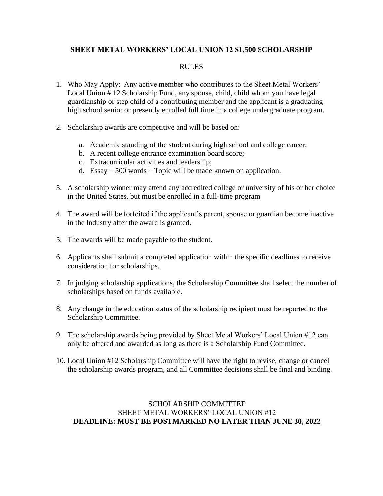### **SHEET METAL WORKERS' LOCAL UNION 12 \$1,500 SCHOLARSHIP**

#### RULES

- 1. Who May Apply: Any active member who contributes to the Sheet Metal Workers' Local Union # 12 Scholarship Fund, any spouse, child, child whom you have legal guardianship or step child of a contributing member and the applicant is a graduating high school senior or presently enrolled full time in a college undergraduate program.
- 2. Scholarship awards are competitive and will be based on:
	- a. Academic standing of the student during high school and college career;
	- b. A recent college entrance examination board score;
	- c. Extracurricular activities and leadership;
	- d. Essay 500 words Topic will be made known on application.
- 3. A scholarship winner may attend any accredited college or university of his or her choice in the United States, but must be enrolled in a full-time program.
- 4. The award will be forfeited if the applicant's parent, spouse or guardian become inactive in the Industry after the award is granted.
- 5. The awards will be made payable to the student.
- 6. Applicants shall submit a completed application within the specific deadlines to receive consideration for scholarships.
- 7. In judging scholarship applications, the Scholarship Committee shall select the number of scholarships based on funds available.
- 8. Any change in the education status of the scholarship recipient must be reported to the Scholarship Committee.
- 9. The scholarship awards being provided by Sheet Metal Workers' Local Union #12 can only be offered and awarded as long as there is a Scholarship Fund Committee.
- 10. Local Union #12 Scholarship Committee will have the right to revise, change or cancel the scholarship awards program, and all Committee decisions shall be final and binding.

#### SCHOLARSHIP COMMITTEE SHEET METAL WORKERS' LOCAL UNION #12 **DEADLINE: MUST BE POSTMARKED NO LATER THAN JUNE 30, 2022**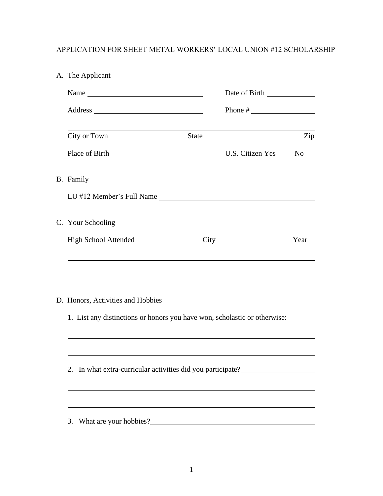# APPLICATION FOR SHEET METAL WORKERS' LOCAL UNION #12 SCHOLARSHIP

|  | A. The Applicant                                                                       |              |                                                    |      |  |  |
|--|----------------------------------------------------------------------------------------|--------------|----------------------------------------------------|------|--|--|
|  | Name                                                                                   |              |                                                    |      |  |  |
|  |                                                                                        |              |                                                    |      |  |  |
|  | City or Town                                                                           | <b>State</b> |                                                    | Zip  |  |  |
|  |                                                                                        |              | U.S. Citizen Yes _____ No____                      |      |  |  |
|  | B. Family                                                                              |              |                                                    |      |  |  |
|  | LU #12 Member's Full Name                                                              |              |                                                    |      |  |  |
|  | C. Your Schooling                                                                      |              |                                                    |      |  |  |
|  | <b>High School Attended</b>                                                            | City         |                                                    | Year |  |  |
|  |                                                                                        |              |                                                    |      |  |  |
|  | D. Honors, Activities and Hobbies                                                      |              |                                                    |      |  |  |
|  | 1. List any distinctions or honors you have won, scholastic or otherwise:              |              |                                                    |      |  |  |
|  |                                                                                        |              |                                                    |      |  |  |
|  | In what extra-curricular activities did you participate?________________________<br>2. |              |                                                    |      |  |  |
|  | ,我们也不能在这里的时候,我们也不能在这里的时候,我们也不能会在这里的时候,我们也不能会在这里的时候,我们也不能会在这里的时候,我们也不能会在这里的时候,我们也       |              |                                                    |      |  |  |
|  | 3. What are your hobbies?                                                              |              | <u> 1980 - Johann Barbara, martxa amerikan per</u> |      |  |  |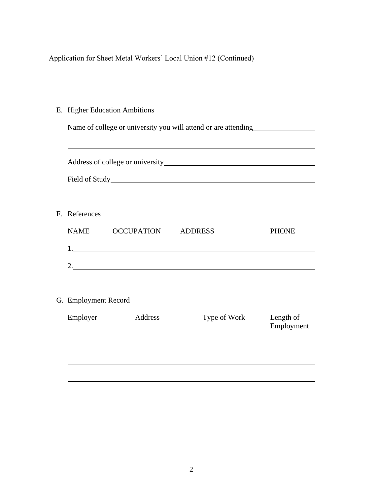Application for Sheet Metal Workers' Local Union #12 (Continued)

E. Higher Education Ambitions

Name of college or university you will attend or are attending

| F. References        |            |                |                         |  |  |
|----------------------|------------|----------------|-------------------------|--|--|
| <b>NAME</b>          | OCCUPATION | <b>ADDRESS</b> | <b>PHONE</b>            |  |  |
|                      |            |                |                         |  |  |
|                      |            | 2.             |                         |  |  |
| G. Employment Record |            |                |                         |  |  |
| Employer             | Address    | Type of Work   | Length of<br>Employment |  |  |
|                      |            |                |                         |  |  |
|                      |            |                |                         |  |  |